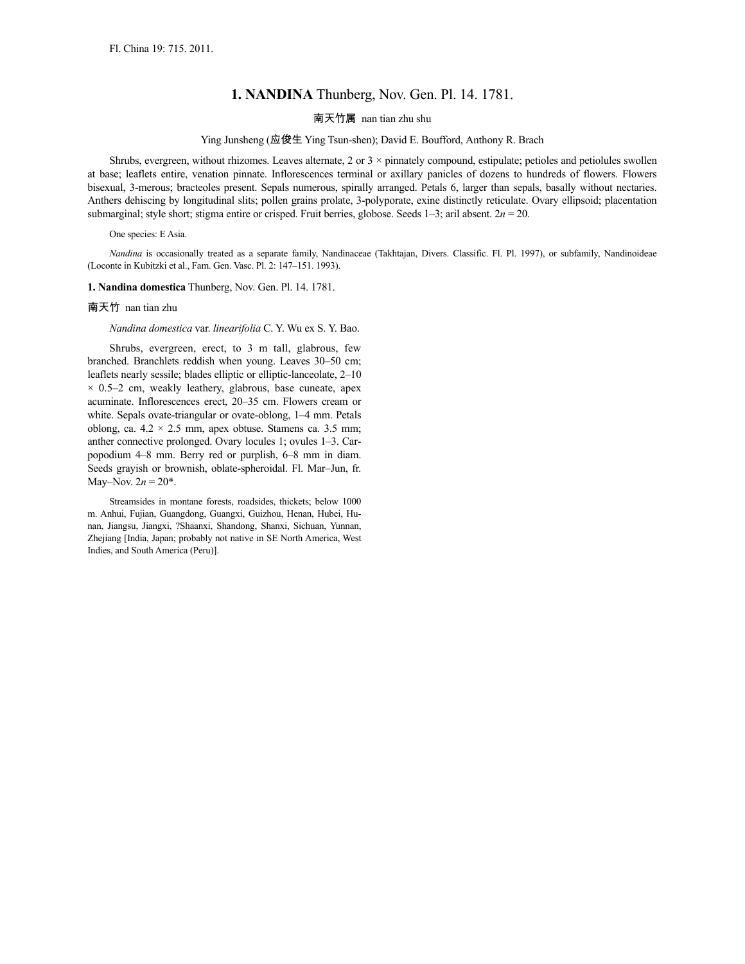# **1. NANDINA** Thunberg, Nov. Gen. Pl. 14. 1781.

## 南天竹属 nan tian zhu shu

## Ying Junsheng (应俊生 Ying Tsun-shen); David E. Boufford, Anthony R. Brach

Shrubs, evergreen, without rhizomes. Leaves alternate, 2 or 3 × pinnately compound, estipulate; petioles and petiolules swollen at base; leaflets entire, venation pinnate. Inflorescences terminal or axillary panicles of dozens to hundreds of flowers. Flowers bisexual, 3-merous; bracteoles present. Sepals numerous, spirally arranged. Petals 6, larger than sepals, basally without nectaries. Anthers dehiscing by longitudinal slits; pollen grains prolate, 3-polyporate, exine distinctly reticulate. Ovary ellipsoid; placentation submarginal; style short; stigma entire or crisped. Fruit berries, globose. Seeds 1–3; aril absent. 2*n* = 20.

#### One species: E Asia.

*Nandina* is occasionally treated as a separate family, Nandinaceae (Takhtajan, Divers. Classific. Fl. Pl. 1997), or subfamily, Nandinoideae (Loconte in Kubitzki et al., Fam. Gen. Vasc. Pl. 2: 147–151. 1993).

## **1. Nandina domestica** Thunberg, Nov. Gen. Pl. 14. 1781.

#### 南天竹 nan tian zhu

## *Nandina domestica* var. *linearifolia* C. Y. Wu ex S. Y. Bao.

Shrubs, evergreen, erect, to 3 m tall, glabrous, few branched. Branchlets reddish when young. Leaves 30–50 cm; leaflets nearly sessile; blades elliptic or elliptic-lanceolate, 2–10  $\times$  0.5–2 cm, weakly leathery, glabrous, base cuneate, apex acuminate. Inflorescences erect, 20–35 cm. Flowers cream or white. Sepals ovate-triangular or ovate-oblong, 1–4 mm. Petals oblong, ca.  $4.2 \times 2.5$  mm, apex obtuse. Stamens ca. 3.5 mm; anther connective prolonged. Ovary locules 1; ovules 1–3. Carpopodium 4–8 mm. Berry red or purplish, 6–8 mm in diam. Seeds grayish or brownish, oblate-spheroidal. Fl. Mar–Jun, fr. May–Nov.  $2n = 20^*$ .

Streamsides in montane forests, roadsides, thickets; below 1000 m. Anhui, Fujian, Guangdong, Guangxi, Guizhou, Henan, Hubei, Hunan, Jiangsu, Jiangxi, ?Shaanxi, Shandong, Shanxi, Sichuan, Yunnan, Zhejiang [India, Japan; probably not native in SE North America, West Indies, and South America (Peru)].